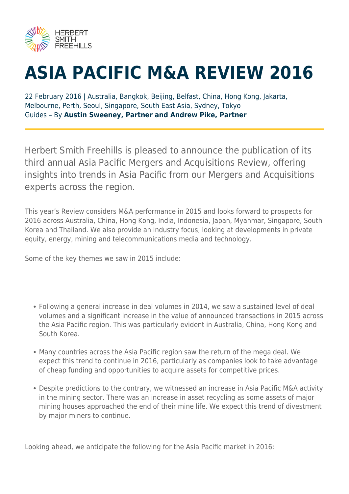

## **ASIA PACIFIC M&A REVIEW 2016**

22 February 2016 | Australia, Bangkok, Beijing, Belfast, China, Hong Kong, Jakarta, Melbourne, Perth, Seoul, Singapore, South East Asia, Sydney, Tokyo Guides – By **Austin Sweeney, Partner and Andrew Pike, Partner**

Herbert Smith Freehills is pleased to announce the publication of its third annual Asia Pacific Mergers and Acquisitions Review, offering insights into trends in Asia Pacific from our Mergers and Acquisitions experts across the region.

This year's Review considers M&A performance in 2015 and looks forward to prospects for 2016 across Australia, China, Hong Kong, India, Indonesia, Japan, Myanmar, Singapore, South Korea and Thailand. We also provide an industry focus, looking at developments in private equity, energy, mining and telecommunications media and technology.

Some of the key themes we saw in 2015 include:

- Following a general increase in deal volumes in 2014, we saw a sustained level of deal volumes and a significant increase in the value of announced transactions in 2015 across the Asia Pacific region. This was particularly evident in Australia, China, Hong Kong and South Korea.
- Many countries across the Asia Pacific region saw the return of the mega deal. We expect this trend to continue in 2016, particularly as companies look to take advantage of cheap funding and opportunities to acquire assets for competitive prices.
- Despite predictions to the contrary, we witnessed an increase in Asia Pacific M&A activity in the mining sector. There was an increase in asset recycling as some assets of major mining houses approached the end of their mine life. We expect this trend of divestment by major miners to continue.

Looking ahead, we anticipate the following for the Asia Pacific market in 2016: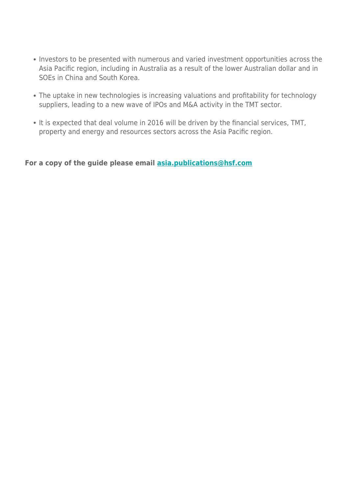- Investors to be presented with numerous and varied investment opportunities across the Asia Pacific region, including in Australia as a result of the lower Australian dollar and in SOEs in China and South Korea.
- The uptake in new technologies is increasing valuations and profitability for technology suppliers, leading to a new wave of IPOs and M&A activity in the TMT sector.
- It is expected that deal volume in 2016 will be driven by the financial services, TMT, property and energy and resources sectors across the Asia Pacific region.

**For a copy of the guide please email [asia.publications@hsf.com](mailto:asia.publications@hsf.com)**